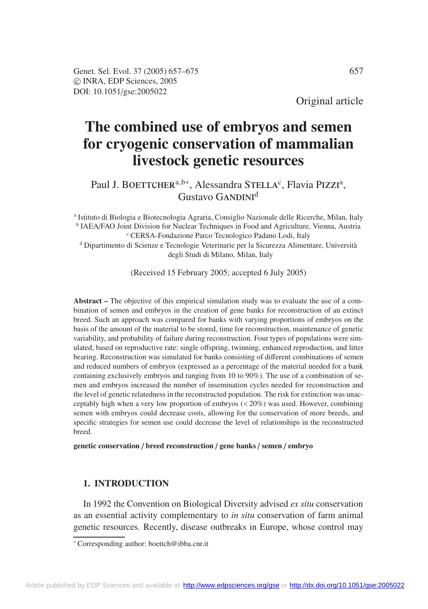Original article

# **The combined use of embryos and semen for cryogenic conservation of mammalian livestock genetic resources**

Paul J. BOETTCHER<sup>a,b∗</sup>, Alessandra STELLA<sup>c</sup>, Flavia PIZZI<sup>a</sup>, Gustavo GANDINI<sup>d</sup>

<sup>a</sup> Istituto di Biologia e Biotecnologia Agraria, Consiglio Nazionale delle Ricerche, Milan, Italy <sup>b</sup> IAEA/FAO Joint Division for Nuclear Techniques in Food and Agriculture, Vienna, Austria <sup>c</sup> CERSA-Fondazione Parco Tecnologico Padano Lodi, Italy

<sup>d</sup> Dipartimento di Scienze e Tecnologie Veterinarie per la Sicurezza Alimentare, Università degli Studi di Milano, Milan, Italy

(Received 15 February 2005; accepted 6 July 2005)

**Abstract –** The objective of this empirical simulation study was to evaluate the use of a combination of semen and embryos in the creation of gene banks for reconstruction of an extinct breed. Such an approach was compared for banks with varying proportions of embryos on the basis of the amount of the material to be stored, time for reconstruction, maintenance of genetic variability, and probability of failure during reconstruction. Four types of populations were simulated, based on reproductive rate: single offspring, twinning, enhanced reproduction, and litter bearing. Reconstruction was simulated for banks consisting of different combinations of semen and reduced numbers of embryos (expressed as a percentage of the material needed for a bank containing exclusively embryos and ranging from 10 to 90%). The use of a combination of semen and embryos increased the number of insemination cycles needed for reconstruction and the level of genetic relatedness in the reconstructed population. The risk for extinction was unacceptably high when a very low proportion of embryos (< 20%) was used. However, combining semen with embryos could decrease costs, allowing for the conservation of more breeds, and specific strategies for semen use could decrease the level of relationships in the reconstructed breed.

**genetic conservation** / **breed reconstruction** / **gene banks** / **semen** / **embryo**

# **1. INTRODUCTION**

In 1992 the Convention on Biological Diversity advised *ex situ* conservation as an essential activity complementary to *in situ* conservation of farm animal genetic resources. Recently, disease outbreaks in Europe, whose control may

<sup>∗</sup> Corresponding author: boettch@ibba.cnr.it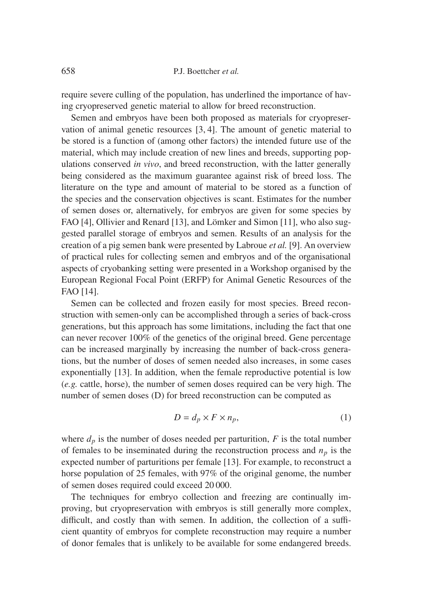require severe culling of the population, has underlined the importance of having cryopreserved genetic material to allow for breed reconstruction.

Semen and embryos have been both proposed as materials for cryopreservation of animal genetic resources [3, 4]. The amount of genetic material to be stored is a function of (among other factors) the intended future use of the material, which may include creation of new lines and breeds, supporting populations conserved *in vivo*, and breed reconstruction, with the latter generally being considered as the maximum guarantee against risk of breed loss. The literature on the type and amount of material to be stored as a function of the species and the conservation objectives is scant. Estimates for the number of semen doses or, alternatively, for embryos are given for some species by FAO [4], Ollivier and Renard [13], and Lömker and Simon [11], who also suggested parallel storage of embryos and semen. Results of an analysis for the creation of a pig semen bank were presented by Labroue *et al.* [9]. An overview of practical rules for collecting semen and embryos and of the organisational aspects of cryobanking setting were presented in a Workshop organised by the European Regional Focal Point (ERFP) for Animal Genetic Resources of the FAO [14].

Semen can be collected and frozen easily for most species. Breed reconstruction with semen-only can be accomplished through a series of back-cross generations, but this approach has some limitations, including the fact that one can never recover 100% of the genetics of the original breed. Gene percentage can be increased marginally by increasing the number of back-cross generations, but the number of doses of semen needed also increases, in some cases exponentially [13]. In addition, when the female reproductive potential is low (*e.g.* cattle, horse), the number of semen doses required can be very high. The number of semen doses (D) for breed reconstruction can be computed as

$$
D = d_p \times F \times n_p,\tag{1}
$$

where  $d_p$  is the number of doses needed per parturition,  $F$  is the total number of females to be inseminated during the reconstruction process and  $n_p$  is the expected number of parturitions per female [13]. For example, to reconstruct a horse population of 25 females, with 97% of the original genome, the number of semen doses required could exceed 20 000.

The techniques for embryo collection and freezing are continually improving, but cryopreservation with embryos is still generally more complex, difficult, and costly than with semen. In addition, the collection of a sufficient quantity of embryos for complete reconstruction may require a number of donor females that is unlikely to be available for some endangered breeds.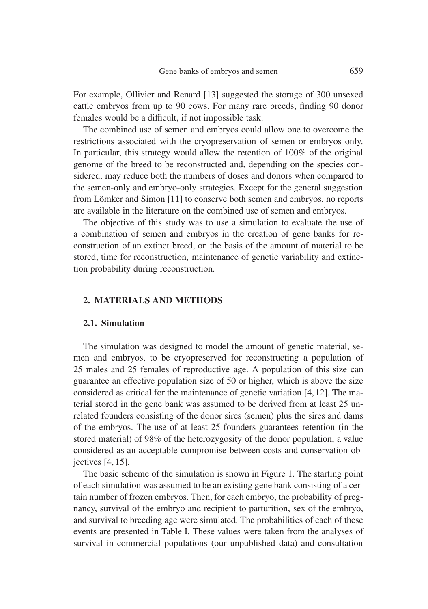For example, Ollivier and Renard [13] suggested the storage of 300 unsexed cattle embryos from up to 90 cows. For many rare breeds, finding 90 donor females would be a difficult, if not impossible task.

The combined use of semen and embryos could allow one to overcome the restrictions associated with the cryopreservation of semen or embryos only. In particular, this strategy would allow the retention of 100% of the original genome of the breed to be reconstructed and, depending on the species considered, may reduce both the numbers of doses and donors when compared to the semen-only and embryo-only strategies. Except for the general suggestion from Lömker and Simon [11] to conserve both semen and embryos, no reports are available in the literature on the combined use of semen and embryos.

The objective of this study was to use a simulation to evaluate the use of a combination of semen and embryos in the creation of gene banks for reconstruction of an extinct breed, on the basis of the amount of material to be stored, time for reconstruction, maintenance of genetic variability and extinction probability during reconstruction.

#### **2. MATERIALS AND METHODS**

#### **2.1. Simulation**

The simulation was designed to model the amount of genetic material, semen and embryos, to be cryopreserved for reconstructing a population of 25 males and 25 females of reproductive age. A population of this size can guarantee an effective population size of 50 or higher, which is above the size considered as critical for the maintenance of genetic variation [4,12]. The material stored in the gene bank was assumed to be derived from at least 25 unrelated founders consisting of the donor sires (semen) plus the sires and dams of the embryos. The use of at least 25 founders guarantees retention (in the stored material) of 98% of the heterozygosity of the donor population, a value considered as an acceptable compromise between costs and conservation objectives [4, 15].

The basic scheme of the simulation is shown in Figure 1. The starting point of each simulation was assumed to be an existing gene bank consisting of a certain number of frozen embryos. Then, for each embryo, the probability of pregnancy, survival of the embryo and recipient to parturition, sex of the embryo, and survival to breeding age were simulated. The probabilities of each of these events are presented in Table I. These values were taken from the analyses of survival in commercial populations (our unpublished data) and consultation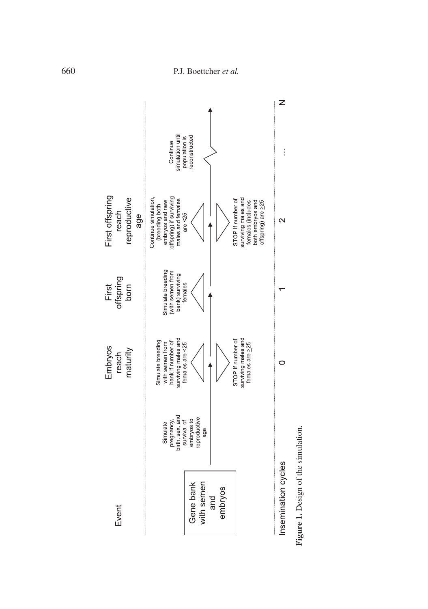

Figure 1. Design of the simulation. **Figure 1.** Design of the simulation.

# 660 P.J. Boettcher *et al.*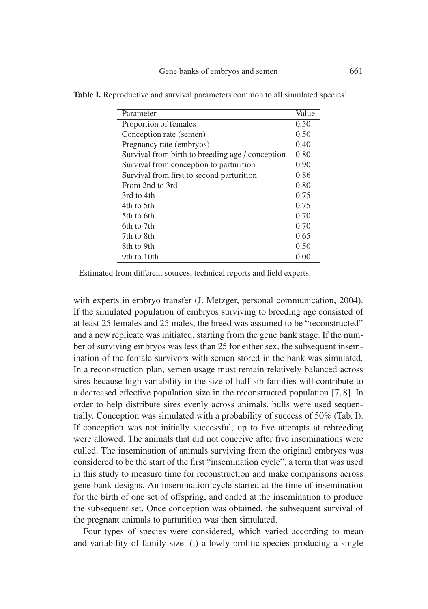| Parameter                                        | Value |
|--------------------------------------------------|-------|
| Proportion of females                            | 0.50  |
| Conception rate (semen)                          | 0.50  |
| Pregnancy rate (embryos)                         | 0.40  |
| Survival from birth to breeding age / conception | 0.80  |
| Survival from conception to parturition          | 0.90  |
| Survival from first to second parturition        | 0.86  |
| From 2nd to 3rd                                  | 0.80  |
| 3rd to 4th                                       | 0.75  |
| 4th to 5th                                       | 0.75  |
| 5th to 6th                                       | 0.70  |
| 6th to 7th                                       | 0.70  |
| 7th to 8th                                       | 0.65  |
| 8th to 9th                                       | 0.50  |
| 9th to 10th                                      | 0.00  |

**Table I.** Reproductive and survival parameters common to all simulated species<sup>1</sup>.

<sup>1</sup> Estimated from different sources, technical reports and field experts.

with experts in embryo transfer (J. Metzger, personal communication, 2004). If the simulated population of embryos surviving to breeding age consisted of at least 25 females and 25 males, the breed was assumed to be "reconstructed" and a new replicate was initiated, starting from the gene bank stage. If the number of surviving embryos was less than 25 for either sex, the subsequent insemination of the female survivors with semen stored in the bank was simulated. In a reconstruction plan, semen usage must remain relatively balanced across sires because high variability in the size of half-sib families will contribute to a decreased effective population size in the reconstructed population [7, 8]. In order to help distribute sires evenly across animals, bulls were used sequentially. Conception was simulated with a probability of success of 50% (Tab. I). If conception was not initially successful, up to five attempts at rebreeding were allowed. The animals that did not conceive after five inseminations were culled. The insemination of animals surviving from the original embryos was considered to be the start of the first "insemination cycle", a term that was used in this study to measure time for reconstruction and make comparisons across gene bank designs. An insemination cycle started at the time of insemination for the birth of one set of offspring, and ended at the insemination to produce the subsequent set. Once conception was obtained, the subsequent survival of the pregnant animals to parturition was then simulated.

Four types of species were considered, which varied according to mean and variability of family size: (i) a lowly prolific species producing a single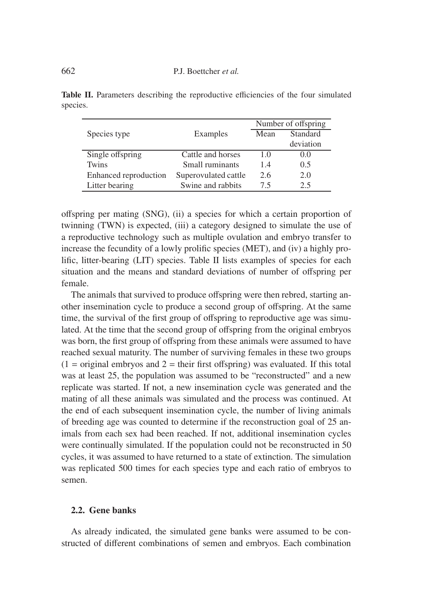|                       |                      | Number of offspring |           |
|-----------------------|----------------------|---------------------|-----------|
| Species type          | Examples             | Mean                | Standard  |
|                       |                      |                     | deviation |
| Single offspring      | Cattle and horses    | 1.0                 | (0.0)     |
| Twins                 | Small ruminants      | 1.4                 | 0.5       |
| Enhanced reproduction | Superovulated cattle | 2.6                 | 2.0       |
| Litter bearing        | Swine and rabbits    | 75                  | 2.5       |

**Table II.** Parameters describing the reproductive efficiencies of the four simulated species.

offspring per mating (SNG), (ii) a species for which a certain proportion of twinning (TWN) is expected, (iii) a category designed to simulate the use of a reproductive technology such as multiple ovulation and embryo transfer to increase the fecundity of a lowly prolific species (MET), and (iv) a highly prolific, litter-bearing (LIT) species. Table II lists examples of species for each situation and the means and standard deviations of number of offspring per female.

The animals that survived to produce offspring were then rebred, starting another insemination cycle to produce a second group of offspring. At the same time, the survival of the first group of offspring to reproductive age was simulated. At the time that the second group of offspring from the original embryos was born, the first group of offspring from these animals were assumed to have reached sexual maturity. The number of surviving females in these two groups  $(1 = \text{original embryos and } 2 = \text{their first offspring})$  was evaluated. If this total was at least 25, the population was assumed to be "reconstructed" and a new replicate was started. If not, a new insemination cycle was generated and the mating of all these animals was simulated and the process was continued. At the end of each subsequent insemination cycle, the number of living animals of breeding age was counted to determine if the reconstruction goal of 25 animals from each sex had been reached. If not, additional insemination cycles were continually simulated. If the population could not be reconstructed in 50 cycles, it was assumed to have returned to a state of extinction. The simulation was replicated 500 times for each species type and each ratio of embryos to semen.

# **2.2. Gene banks**

As already indicated, the simulated gene banks were assumed to be constructed of different combinations of semen and embryos. Each combination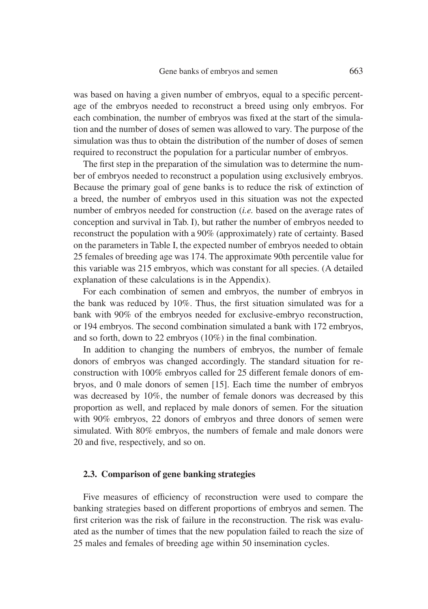was based on having a given number of embryos, equal to a specific percentage of the embryos needed to reconstruct a breed using only embryos. For each combination, the number of embryos was fixed at the start of the simulation and the number of doses of semen was allowed to vary. The purpose of the simulation was thus to obtain the distribution of the number of doses of semen required to reconstruct the population for a particular number of embryos.

The first step in the preparation of the simulation was to determine the number of embryos needed to reconstruct a population using exclusively embryos. Because the primary goal of gene banks is to reduce the risk of extinction of a breed, the number of embryos used in this situation was not the expected number of embryos needed for construction (*i.e.* based on the average rates of conception and survival in Tab. I), but rather the number of embryos needed to reconstruct the population with a 90% (approximately) rate of certainty. Based on the parameters in Table I, the expected number of embryos needed to obtain 25 females of breeding age was 174. The approximate 90th percentile value for this variable was 215 embryos, which was constant for all species. (A detailed explanation of these calculations is in the Appendix).

For each combination of semen and embryos, the number of embryos in the bank was reduced by 10%. Thus, the first situation simulated was for a bank with 90% of the embryos needed for exclusive-embryo reconstruction, or 194 embryos. The second combination simulated a bank with 172 embryos, and so forth, down to 22 embryos (10%) in the final combination.

In addition to changing the numbers of embryos, the number of female donors of embryos was changed accordingly. The standard situation for reconstruction with 100% embryos called for 25 different female donors of embryos, and 0 male donors of semen [15]. Each time the number of embryos was decreased by 10%, the number of female donors was decreased by this proportion as well, and replaced by male donors of semen. For the situation with 90% embryos, 22 donors of embryos and three donors of semen were simulated. With 80% embryos, the numbers of female and male donors were 20 and five, respectively, and so on.

## **2.3. Comparison of gene banking strategies**

Five measures of efficiency of reconstruction were used to compare the banking strategies based on different proportions of embryos and semen. The first criterion was the risk of failure in the reconstruction. The risk was evaluated as the number of times that the new population failed to reach the size of 25 males and females of breeding age within 50 insemination cycles.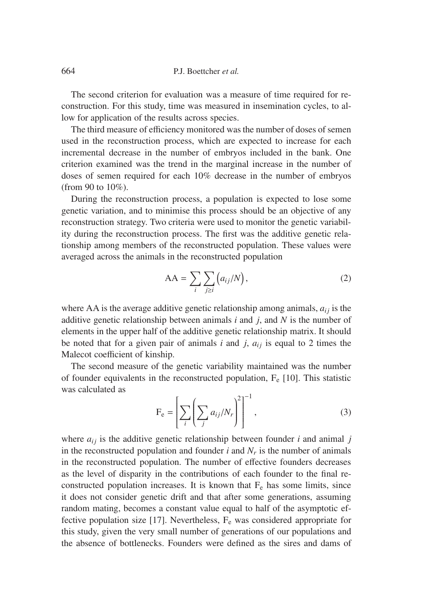The second criterion for evaluation was a measure of time required for reconstruction. For this study, time was measured in insemination cycles, to allow for application of the results across species.

The third measure of efficiency monitored was the number of doses of semen used in the reconstruction process, which are expected to increase for each incremental decrease in the number of embryos included in the bank. One criterion examined was the trend in the marginal increase in the number of doses of semen required for each 10% decrease in the number of embryos (from 90 to 10%).

During the reconstruction process, a population is expected to lose some genetic variation, and to minimise this process should be an objective of any reconstruction strategy. Two criteria were used to monitor the genetic variability during the reconstruction process. The first was the additive genetic relationship among members of the reconstructed population. These values were averaged across the animals in the reconstructed population

$$
AA = \sum_{i} \sum_{j \geq i} (a_{ij}/N), \qquad (2)
$$

where AA is the average additive genetic relationship among animals,  $a_{ij}$  is the additive genetic relationship between animals *i* and *j*, and *N* is the number of elements in the upper half of the additive genetic relationship matrix. It should be noted that for a given pair of animals  $i$  and  $j$ ,  $a_{ij}$  is equal to 2 times the Malecot coefficient of kinship.

The second measure of the genetic variability maintained was the number of founder equivalents in the reconstructed population,  $F_e$  [10]. This statistic was calculated as

$$
F_e = \left[ \sum_i \left( \sum_j a_{ij} / N_r \right)^2 \right]^{-1}, \tag{3}
$$

where  $a_{ij}$  is the additive genetic relationship between founder *i* and animal *j* in the reconstructed population and founder  $i$  and  $N_r$  is the number of animals in the reconstructed population. The number of effective founders decreases as the level of disparity in the contributions of each founder to the final reconstructed population increases. It is known that  $F_e$  has some limits, since it does not consider genetic drift and that after some generations, assuming random mating, becomes a constant value equal to half of the asymptotic effective population size [17]. Nevertheless,  $F_e$  was considered appropriate for this study, given the very small number of generations of our populations and the absence of bottlenecks. Founders were defined as the sires and dams of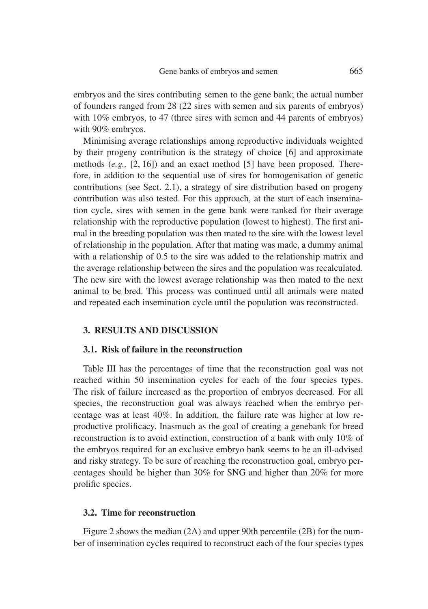embryos and the sires contributing semen to the gene bank; the actual number of founders ranged from 28 (22 sires with semen and six parents of embryos) with 10% embryos, to 47 (three sires with semen and 44 parents of embryos) with 90% embryos.

Minimising average relationships among reproductive individuals weighted by their progeny contribution is the strategy of choice [6] and approximate methods (*e.g.,* [2, 16]) and an exact method [5] have been proposed. Therefore, in addition to the sequential use of sires for homogenisation of genetic contributions (see Sect. 2.1), a strategy of sire distribution based on progeny contribution was also tested. For this approach, at the start of each insemination cycle, sires with semen in the gene bank were ranked for their average relationship with the reproductive population (lowest to highest). The first animal in the breeding population was then mated to the sire with the lowest level of relationship in the population. After that mating was made, a dummy animal with a relationship of 0.5 to the sire was added to the relationship matrix and the average relationship between the sires and the population was recalculated. The new sire with the lowest average relationship was then mated to the next animal to be bred. This process was continued until all animals were mated and repeated each insemination cycle until the population was reconstructed.

#### **3. RESULTS AND DISCUSSION**

#### **3.1. Risk of failure in the reconstruction**

Table III has the percentages of time that the reconstruction goal was not reached within 50 insemination cycles for each of the four species types. The risk of failure increased as the proportion of embryos decreased. For all species, the reconstruction goal was always reached when the embryo percentage was at least 40%. In addition, the failure rate was higher at low reproductive prolificacy. Inasmuch as the goal of creating a genebank for breed reconstruction is to avoid extinction, construction of a bank with only 10% of the embryos required for an exclusive embryo bank seems to be an ill-advised and risky strategy. To be sure of reaching the reconstruction goal, embryo percentages should be higher than 30% for SNG and higher than 20% for more prolific species.

#### **3.2. Time for reconstruction**

Figure 2 shows the median (2A) and upper 90th percentile (2B) for the number of insemination cycles required to reconstruct each of the four species types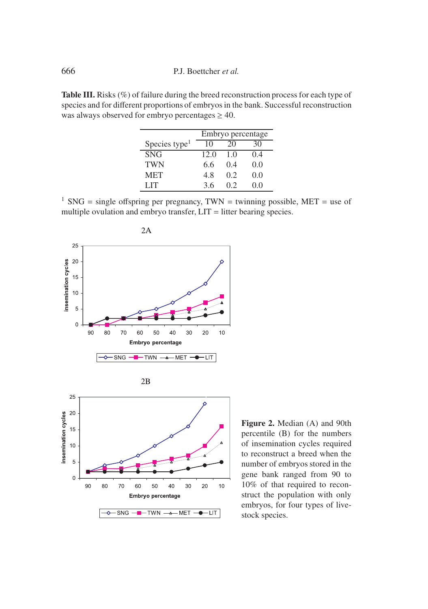**Table III.** Risks (%) of failure during the breed reconstruction process for each type of species and for different proportions of embryos in the bank. Successful reconstruction was always observed for embryo percentages  $\geq 40$ .

|                           | Embryo percentage |     |       |
|---------------------------|-------------------|-----|-------|
| Species type <sup>1</sup> | 10                | 20  | 30    |
| <b>SNG</b>                | 12.0              | 1.0 | 0.4   |
| <b>TWN</b>                | 6.6               | 04  | 0.0   |
| <b>MET</b>                | 4.8               | 0.2 | 0.0   |
| LIT                       | 3.6               | 02  | (0.0) |

<sup>1</sup> SNG = single offspring per pregnancy, TWN = twinning possible, MET = use of multiple ovulation and embryo transfer,  $LIT =$  litter bearing species.



 $\leftarrow$  SNG  $\leftarrow$  TWN  $\rightarrow$  MET  $\leftarrow$  LIT

**Figure 2.** Median (A) and 90th percentile (B) for the numbers of insemination cycles required to reconstruct a breed when the number of embryos stored in the gene bank ranged from 90 to 10% of that required to reconstruct the population with only embryos, for four types of livestock species.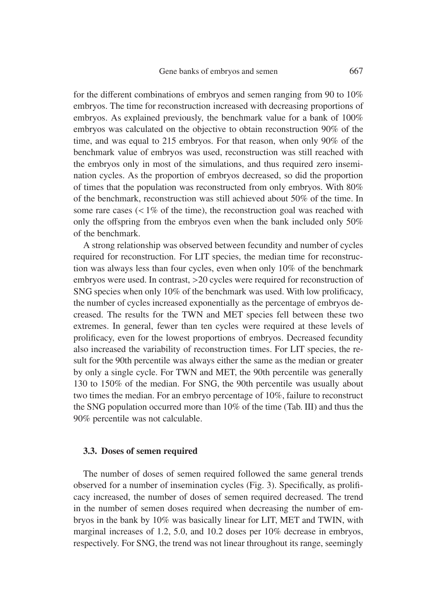for the different combinations of embryos and semen ranging from 90 to 10% embryos. The time for reconstruction increased with decreasing proportions of embryos. As explained previously, the benchmark value for a bank of 100% embryos was calculated on the objective to obtain reconstruction 90% of the time, and was equal to 215 embryos. For that reason, when only 90% of the benchmark value of embryos was used, reconstruction was still reached with the embryos only in most of the simulations, and thus required zero insemination cycles. As the proportion of embryos decreased, so did the proportion of times that the population was reconstructed from only embryos. With 80% of the benchmark, reconstruction was still achieved about 50% of the time. In some rare cases  $\left($  < 1% of the time), the reconstruction goal was reached with only the offspring from the embryos even when the bank included only 50% of the benchmark.

A strong relationship was observed between fecundity and number of cycles required for reconstruction. For LIT species, the median time for reconstruction was always less than four cycles, even when only 10% of the benchmark embryos were used. In contrast, >20 cycles were required for reconstruction of SNG species when only 10% of the benchmark was used. With low prolificacy, the number of cycles increased exponentially as the percentage of embryos decreased. The results for the TWN and MET species fell between these two extremes. In general, fewer than ten cycles were required at these levels of prolificacy, even for the lowest proportions of embryos. Decreased fecundity also increased the variability of reconstruction times. For LIT species, the result for the 90th percentile was always either the same as the median or greater by only a single cycle. For TWN and MET, the 90th percentile was generally 130 to 150% of the median. For SNG, the 90th percentile was usually about two times the median. For an embryo percentage of 10%, failure to reconstruct the SNG population occurred more than 10% of the time (Tab. III) and thus the 90% percentile was not calculable.

#### **3.3. Doses of semen required**

The number of doses of semen required followed the same general trends observed for a number of insemination cycles (Fig. 3). Specifically, as prolificacy increased, the number of doses of semen required decreased. The trend in the number of semen doses required when decreasing the number of embryos in the bank by 10% was basically linear for LIT, MET and TWIN, with marginal increases of 1.2, 5.0, and 10.2 doses per 10% decrease in embryos, respectively. For SNG, the trend was not linear throughout its range, seemingly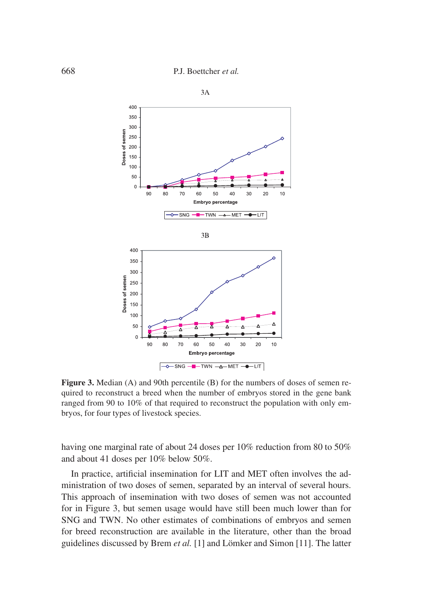

 $3A$ 

**Figure 3.** Median (A) and 90th percentile (B) for the numbers of doses of semen required to reconstruct a breed when the number of embryos stored in the gene bank ranged from 90 to 10% of that required to reconstruct the population with only embryos, for four types of livestock species.

Embryo percentage  $\boxed{\rightarrow\leftarrow$ SNG  $\rightarrow\rightarrow\rightarrow$ TWN  $\rightarrow\rightarrow\rightarrow$ MET  $\rightarrow\rightarrow\rightarrow$ LIT

50  $\mathcal{C}$ 90 80 70 60 50 40  $30$ 20  $10$ 

having one marginal rate of about 24 doses per 10% reduction from 80 to 50% and about 41 doses per 10% below 50%.

In practice, artificial insemination for LIT and MET often involves the administration of two doses of semen, separated by an interval of several hours. This approach of insemination with two doses of semen was not accounted for in Figure 3, but semen usage would have still been much lower than for SNG and TWN. No other estimates of combinations of embryos and semen for breed reconstruction are available in the literature, other than the broad guidelines discussed by Brem *et al.* [1] and Lömker and Simon [11]. The latter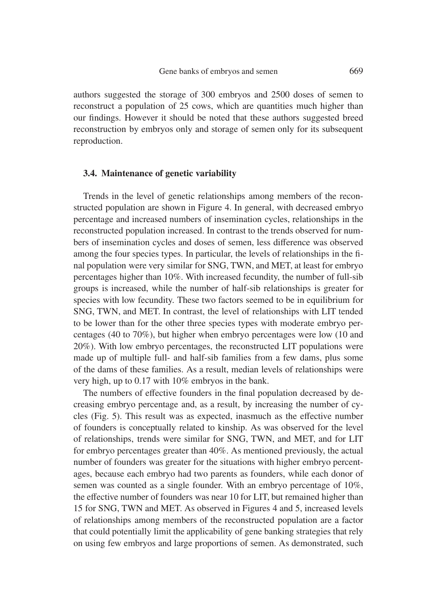authors suggested the storage of 300 embryos and 2500 doses of semen to reconstruct a population of 25 cows, which are quantities much higher than our findings. However it should be noted that these authors suggested breed reconstruction by embryos only and storage of semen only for its subsequent reproduction.

### **3.4. Maintenance of genetic variability**

Trends in the level of genetic relationships among members of the reconstructed population are shown in Figure 4. In general, with decreased embryo percentage and increased numbers of insemination cycles, relationships in the reconstructed population increased. In contrast to the trends observed for numbers of insemination cycles and doses of semen, less difference was observed among the four species types. In particular, the levels of relationships in the final population were very similar for SNG, TWN, and MET, at least for embryo percentages higher than 10%. With increased fecundity, the number of full-sib groups is increased, while the number of half-sib relationships is greater for species with low fecundity. These two factors seemed to be in equilibrium for SNG, TWN, and MET. In contrast, the level of relationships with LIT tended to be lower than for the other three species types with moderate embryo percentages (40 to 70%), but higher when embryo percentages were low (10 and 20%). With low embryo percentages, the reconstructed LIT populations were made up of multiple full- and half-sib families from a few dams, plus some of the dams of these families. As a result, median levels of relationships were very high, up to 0.17 with 10% embryos in the bank.

The numbers of effective founders in the final population decreased by decreasing embryo percentage and, as a result, by increasing the number of cycles (Fig. 5). This result was as expected, inasmuch as the effective number of founders is conceptually related to kinship. As was observed for the level of relationships, trends were similar for SNG, TWN, and MET, and for LIT for embryo percentages greater than 40%. As mentioned previously, the actual number of founders was greater for the situations with higher embryo percentages, because each embryo had two parents as founders, while each donor of semen was counted as a single founder. With an embryo percentage of 10%, the effective number of founders was near 10 for LIT, but remained higher than 15 for SNG, TWN and MET. As observed in Figures 4 and 5, increased levels of relationships among members of the reconstructed population are a factor that could potentially limit the applicability of gene banking strategies that rely on using few embryos and large proportions of semen. As demonstrated, such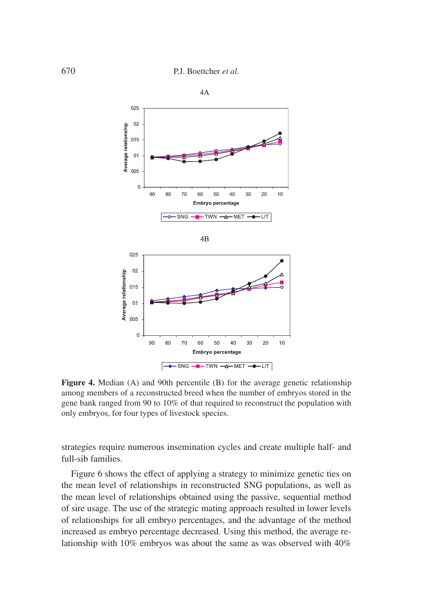

**Figure 4.** Median (A) and 90th percentile (B) for the average genetic relationship among members of a reconstructed breed when the number of embryos stored in the gene bank ranged from 90 to 10% of that required to reconstruct the population with only embryos, for four types of livestock species.

strategies require numerous insemination cycles and create multiple half- and full-sib families.

Figure 6 shows the effect of applying a strategy to minimize genetic ties on the mean level of relationships in reconstructed SNG populations, as well as the mean level of relationships obtained using the passive, sequential method of sire usage. The use of the strategic mating approach resulted in lower levels of relationships for all embryo percentages, and the advantage of the method increased as embryo percentage decreased. Using this method, the average relationship with 10% embryos was about the same as was observed with 40%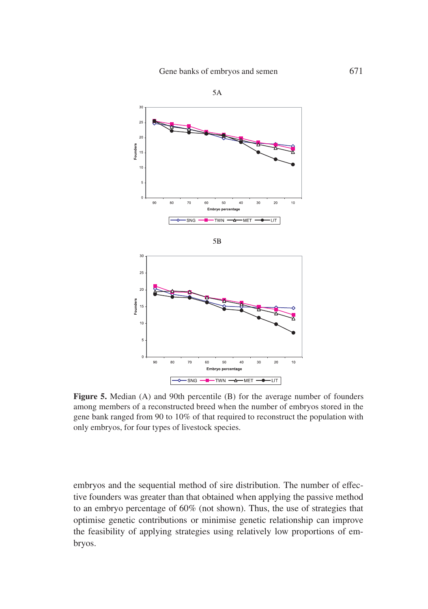

Figure 5. Median (A) and 90th percentile (B) for the average number of founders among members of a reconstructed breed when the number of embryos stored in the gene bank ranged from 90 to 10% of that required to reconstruct the population with only embryos, for four types of livestock species.

embryos and the sequential method of sire distribution. The number of effective founders was greater than that obtained when applying the passive method to an embryo percentage of 60% (not shown). Thus, the use of strategies that optimise genetic contributions or minimise genetic relationship can improve the feasibility of applying strategies using relatively low proportions of embryos.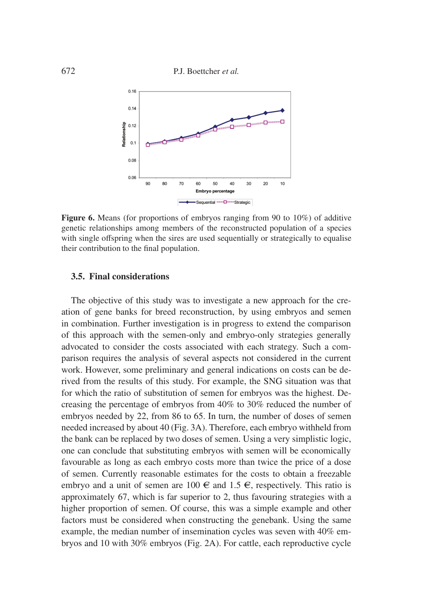672 P.J. Boettcher *et al.*



**Figure 6.** Means (for proportions of embryos ranging from 90 to 10%) of additive genetic relationships among members of the reconstructed population of a species with single offspring when the sires are used sequentially or strategically to equalise their contribution to the final population.

#### **3.5. Final considerations**

The objective of this study was to investigate a new approach for the creation of gene banks for breed reconstruction, by using embryos and semen in combination. Further investigation is in progress to extend the comparison of this approach with the semen-only and embryo-only strategies generally advocated to consider the costs associated with each strategy. Such a comparison requires the analysis of several aspects not considered in the current work. However, some preliminary and general indications on costs can be derived from the results of this study. For example, the SNG situation was that for which the ratio of substitution of semen for embryos was the highest. Decreasing the percentage of embryos from 40% to 30% reduced the number of embryos needed by 22, from 86 to 65. In turn, the number of doses of semen needed increased by about 40 (Fig. 3A). Therefore, each embryo withheld from the bank can be replaced by two doses of semen. Using a very simplistic logic, one can conclude that substituting embryos with semen will be economically favourable as long as each embryo costs more than twice the price of a dose of semen. Currently reasonable estimates for the costs to obtain a freezable embryo and a unit of semen are 100  $\in$  and 1.5  $\in$ , respectively. This ratio is approximately 67, which is far superior to 2, thus favouring strategies with a higher proportion of semen. Of course, this was a simple example and other factors must be considered when constructing the genebank. Using the same example, the median number of insemination cycles was seven with 40% embryos and 10 with 30% embryos (Fig. 2A). For cattle, each reproductive cycle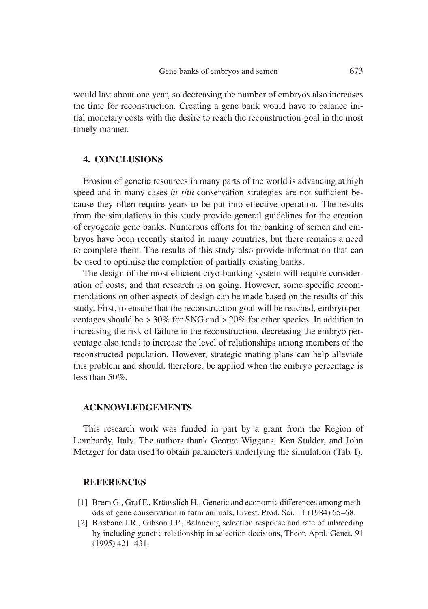would last about one year, so decreasing the number of embryos also increases the time for reconstruction. Creating a gene bank would have to balance initial monetary costs with the desire to reach the reconstruction goal in the most timely manner.

# **4. CONCLUSIONS**

Erosion of genetic resources in many parts of the world is advancing at high speed and in many cases *in situ* conservation strategies are not sufficient because they often require years to be put into effective operation. The results from the simulations in this study provide general guidelines for the creation of cryogenic gene banks. Numerous efforts for the banking of semen and embryos have been recently started in many countries, but there remains a need to complete them. The results of this study also provide information that can be used to optimise the completion of partially existing banks.

The design of the most efficient cryo-banking system will require consideration of costs, and that research is on going. However, some specific recommendations on other aspects of design can be made based on the results of this study. First, to ensure that the reconstruction goal will be reached, embryo percentages should be > 30% for SNG and > 20% for other species. In addition to increasing the risk of failure in the reconstruction, decreasing the embryo percentage also tends to increase the level of relationships among members of the reconstructed population. However, strategic mating plans can help alleviate this problem and should, therefore, be applied when the embryo percentage is less than 50%.

#### **ACKNOWLEDGEMENTS**

This research work was funded in part by a grant from the Region of Lombardy, Italy. The authors thank George Wiggans, Ken Stalder, and John Metzger for data used to obtain parameters underlying the simulation (Tab. I).

#### **REFERENCES**

- [1] Brem G., Graf F., Kräusslich H., Genetic and economic differences among methods of gene conservation in farm animals, Livest. Prod. Sci. 11 (1984) 65–68.
- [2] Brisbane J.R., Gibson J.P., Balancing selection response and rate of inbreeding by including genetic relationship in selection decisions, Theor. Appl. Genet. 91 (1995) 421–431.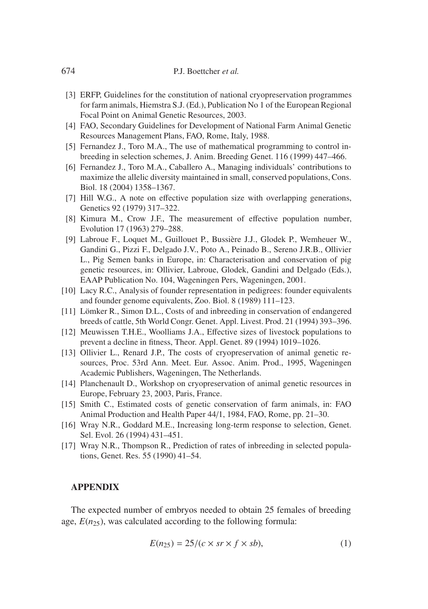- [3] ERFP, Guidelines for the constitution of national cryopreservation programmes for farm animals, Hiemstra S.J. (Ed.), Publication No 1 of the European Regional Focal Point on Animal Genetic Resources, 2003.
- [4] FAO, Secondary Guidelines for Development of National Farm Animal Genetic Resources Management Plans, FAO, Rome, Italy, 1988.
- [5] Fernandez J., Toro M.A., The use of mathematical programming to control inbreeding in selection schemes, J. Anim. Breeding Genet. 116 (1999) 447–466.
- [6] Fernandez J., Toro M.A., Caballero A., Managing individuals' contributions to maximize the allelic diversity maintained in small, conserved populations, Cons. Biol. 18 (2004) 1358–1367.
- [7] Hill W.G., A note on effective population size with overlapping generations, Genetics 92 (1979) 317–322.
- [8] Kimura M., Crow J.F., The measurement of effective population number, Evolution 17 (1963) 279–288.
- [9] Labroue F., Loquet M., Guillouet P., Bussière J.J., Glodek P., Wemheuer W., Gandini G., Pizzi F., Delgado J.V., Poto A., Peinado B., Sereno J.R.B., Ollivier L., Pig Semen banks in Europe, in: Characterisation and conservation of pig genetic resources, in: Ollivier, Labroue, Glodek, Gandini and Delgado (Eds.), EAAP Publication No. 104, Wageningen Pers, Wageningen, 2001.
- [10] Lacy R.C., Analysis of founder representation in pedigrees: founder equivalents and founder genome equivalents, Zoo. Biol. 8 (1989) 111–123.
- [11] Lömker R., Simon D.L., Costs of and inbreeding in conservation of endangered breeds of cattle, 5th World Congr. Genet. Appl. Livest. Prod. 21 (1994) 393–396.
- [12] Meuwissen T.H.E., Woolliams J.A., Effective sizes of livestock populations to prevent a decline in fitness, Theor. Appl. Genet. 89 (1994) 1019–1026.
- [13] Ollivier L., Renard J.P., The costs of cryopreservation of animal genetic resources, Proc. 53rd Ann. Meet. Eur. Assoc. Anim. Prod., 1995, Wageningen Academic Publishers, Wageningen, The Netherlands.
- [14] Planchenault D., Workshop on cryopreservation of animal genetic resources in Europe, February 23, 2003, Paris, France.
- [15] Smith C., Estimated costs of genetic conservation of farm animals, in: FAO Animal Production and Health Paper 44/1, 1984, FAO, Rome, pp. 21–30.
- [16] Wray N.R., Goddard M.E., Increasing long-term response to selection, Genet. Sel. Evol. 26 (1994) 431–451.
- [17] Wray N.R., Thompson R., Prediction of rates of inbreeding in selected populations, Genet. Res. 55 (1990) 41–54.

#### **APPENDIX**

The expected number of embryos needed to obtain 25 females of breeding age,  $E(n_{25})$ , was calculated according to the following formula:

$$
E(n_{25}) = 25/(c \times sr \times f \times sb),
$$
 (1)